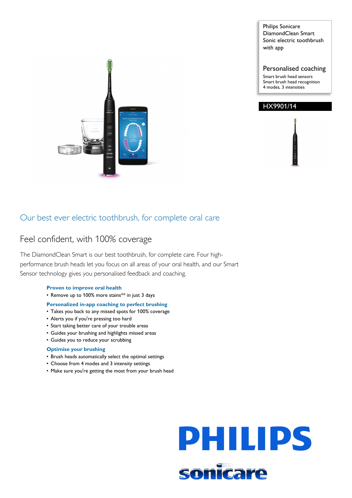Philips Sonicare DiamondClean Smart Sonic electric toothbrush with app

Personalised coaching

Smart brush head sensors Smart brush head recognition 4 modes, 3 intensities



## Our best ever electric toothbrush, for complete oral care

## Feel confident, with 100% coverage

The DiamondClean Smart is our best toothbrush, for complete care. Four highperformance brush heads let you focus on all areas of your oral health, and our Smart Sensor technology gives you personalised feedback and coaching.

## **Proven to improve oral health**

• Remove up to 100% more stains\*\* in just 3 days

## **Personalized in-app coaching to perfect brushing**

- Takes you back to any missed spots for 100% coverage
- Alerts you if you're pressing too hard
- Start taking better care of your trouble areas
- Guides your brushing and highlights missed areas
- Guides you to reduce your scrubbing

## **Optimise your brushing**

- Brush heads automatically select the optimal settings
- Choose from 4 modes and 3 intensity settings
- Make sure you're getting the most from your brush head

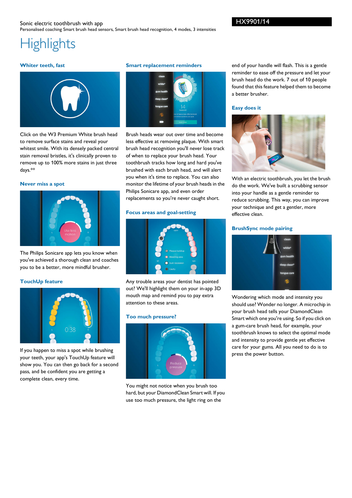# **Highlights**

## **Whiter teeth, fast**



Click on the W3 Premium White brush head to remove surface stains and reveal your whitest smile. With its densely packed central stain removal bristles, it's clinically proven to remove up to 100% more stains in just three days.\*\*

## **Never miss a spot**



The Philips Sonicare app lets you know when you've achieved a thorough clean and coaches you to be a better, more mindful brusher.

## **TouchUp feature**



If you happen to miss a spot while brushing your teeth, your app's TouchUp feature will show you. You can then go back for a second pass, and be confident you are getting a complete clean, every time.

#### **Smart replacement reminders**



Brush heads wear out over time and become less effective at removing plaque. With smart brush head recognition you'll never lose track of when to replace your brush head. Your toothbrush tracks how long and hard you've brushed with each brush head, and will alert you when it's time to replace. You can also monitor the lifetime of your brush heads in the Philips Sonicare app, and even order replacements so you're never caught short.

## **Focus areas and goal-setting**



Any trouble areas your dentist has pointed out? We'll highlight them on your in-app 3D mouth map and remind you to pay extra attention to these areas.

#### **Too much pressure?**



You might not notice when you brush too hard, but your DiamondClean Smart will. If you use too much pressure, the light ring on the

end of your handle will flash. This is a gentle reminder to ease off the pressure and let your brush head do the work. 7 out of 10 people found that this feature helped them to become a better brusher.

#### **Easy does it**



With an electric toothbrush, you let the brush do the work. We've built a scrubbing sensor into your handle as a gentle reminder to reduce scrubbing. This way, you can improve your technique and get a gentler, more effective clean.

#### **BrushSync mode pairing**



Wondering which mode and intensity you should use? Wonder no longer. A microchip in your brush head tells your DiamondClean Smart which one you're using. So if you click on a gum-care brush head, for example, your toothbrush knows to select the optimal mode and intensity to provide gentle yet effective care for your gums. All you need to do is to press the power button.